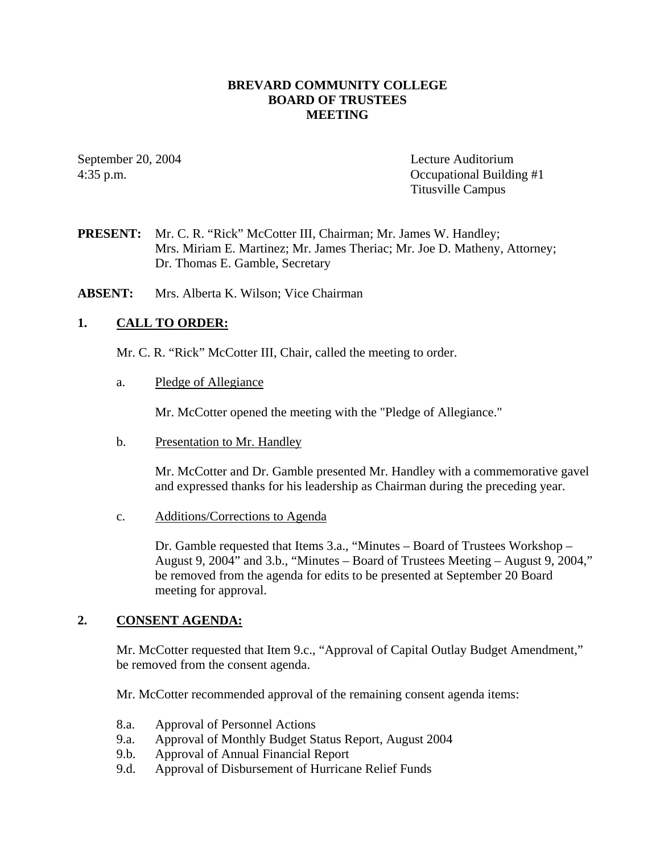## **BREVARD COMMUNITY COLLEGE BOARD OF TRUSTEES MEETING**

September 20, 2004 Lecture Auditorium 4:35 p.m. Occupational Building #1 Titusville Campus

**PRESENT:** Mr. C. R. "Rick" McCotter III, Chairman; Mr. James W. Handley; Mrs. Miriam E. Martinez; Mr. James Theriac; Mr. Joe D. Matheny, Attorney; Dr. Thomas E. Gamble, Secretary

**ABSENT:** Mrs. Alberta K. Wilson; Vice Chairman

## **1. CALL TO ORDER:**

Mr. C. R. "Rick" McCotter III, Chair, called the meeting to order.

#### a. Pledge of Allegiance

Mr. McCotter opened the meeting with the "Pledge of Allegiance."

b. Presentation to Mr. Handley

Mr. McCotter and Dr. Gamble presented Mr. Handley with a commemorative gavel and expressed thanks for his leadership as Chairman during the preceding year.

c. Additions/Corrections to Agenda

Dr. Gamble requested that Items 3.a., "Minutes – Board of Trustees Workshop – August 9, 2004" and 3.b., "Minutes – Board of Trustees Meeting – August 9, 2004," be removed from the agenda for edits to be presented at September 20 Board meeting for approval.

## **2. CONSENT AGENDA:**

Mr. McCotter requested that Item 9.c., "Approval of Capital Outlay Budget Amendment," be removed from the consent agenda.

Mr. McCotter recommended approval of the remaining consent agenda items:

- 8.a. Approval of Personnel Actions
- 9.a. Approval of Monthly Budget Status Report, August 2004
- 9.b. Approval of Annual Financial Report
- 9.d. Approval of Disbursement of Hurricane Relief Funds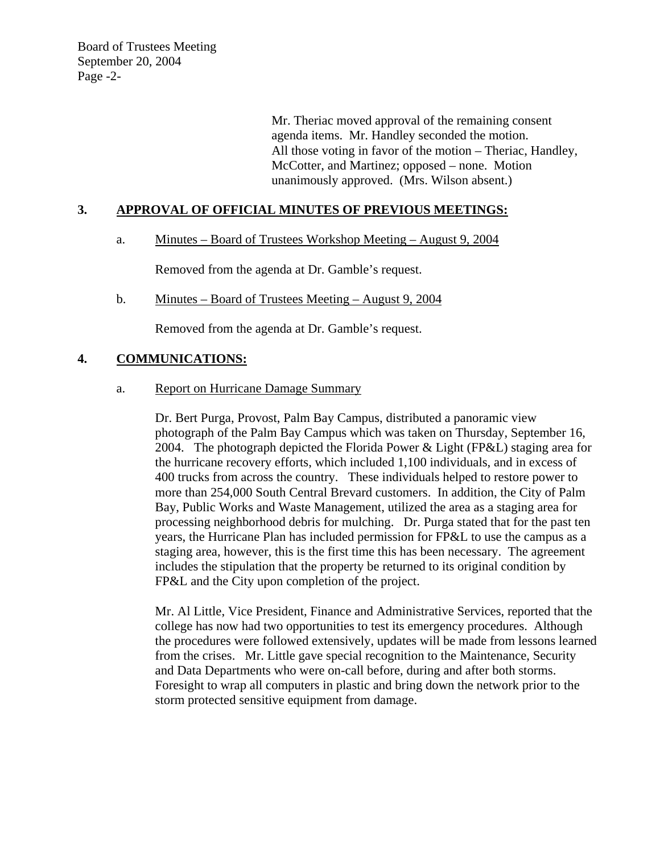Board of Trustees Meeting September 20, 2004 Page -2-

> Mr. Theriac moved approval of the remaining consent agenda items. Mr. Handley seconded the motion. All those voting in favor of the motion – Theriac, Handley, McCotter, and Martinez; opposed – none. Motion unanimously approved. (Mrs. Wilson absent.)

## **3. APPROVAL OF OFFICIAL MINUTES OF PREVIOUS MEETINGS:**

## a. Minutes – Board of Trustees Workshop Meeting – August 9, 2004

Removed from the agenda at Dr. Gamble's request.

b. Minutes – Board of Trustees Meeting – August 9, 2004

Removed from the agenda at Dr. Gamble's request.

## **4. COMMUNICATIONS:**

a. Report on Hurricane Damage Summary

Dr. Bert Purga, Provost, Palm Bay Campus, distributed a panoramic view photograph of the Palm Bay Campus which was taken on Thursday, September 16, 2004. The photograph depicted the Florida Power & Light (FP&L) staging area for the hurricane recovery efforts, which included 1,100 individuals, and in excess of 400 trucks from across the country. These individuals helped to restore power to more than 254,000 South Central Brevard customers. In addition, the City of Palm Bay, Public Works and Waste Management, utilized the area as a staging area for processing neighborhood debris for mulching. Dr. Purga stated that for the past ten years, the Hurricane Plan has included permission for FP&L to use the campus as a staging area, however, this is the first time this has been necessary. The agreement includes the stipulation that the property be returned to its original condition by FP&L and the City upon completion of the project.

Mr. Al Little, Vice President, Finance and Administrative Services, reported that the college has now had two opportunities to test its emergency procedures. Although the procedures were followed extensively, updates will be made from lessons learned from the crises. Mr. Little gave special recognition to the Maintenance, Security and Data Departments who were on-call before, during and after both storms. Foresight to wrap all computers in plastic and bring down the network prior to the storm protected sensitive equipment from damage.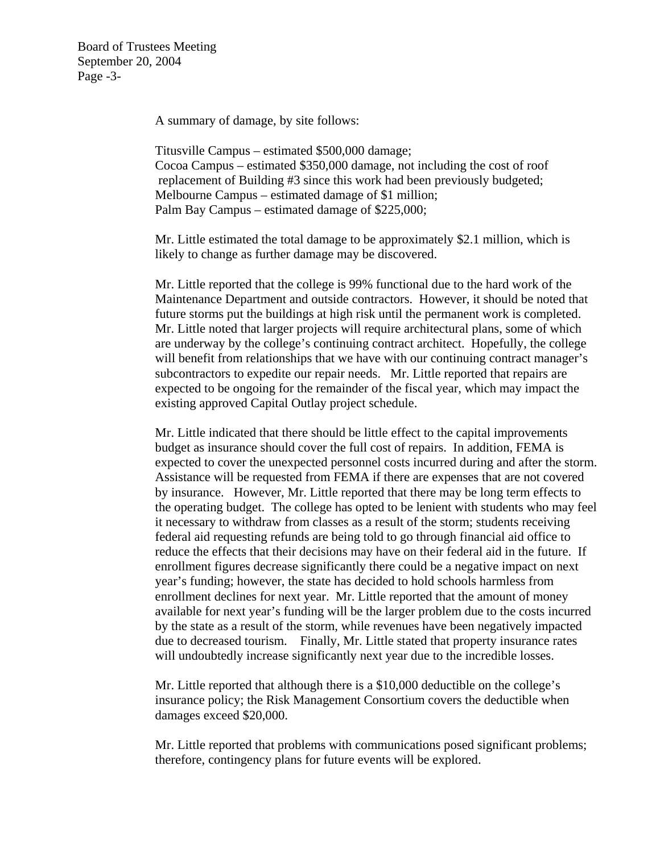Board of Trustees Meeting September 20, 2004 Page -3-

A summary of damage, by site follows:

Titusville Campus – estimated \$500,000 damage; Cocoa Campus – estimated \$350,000 damage, not including the cost of roof replacement of Building #3 since this work had been previously budgeted; Melbourne Campus – estimated damage of \$1 million; Palm Bay Campus – estimated damage of \$225,000;

Mr. Little estimated the total damage to be approximately \$2.1 million, which is likely to change as further damage may be discovered.

Mr. Little reported that the college is 99% functional due to the hard work of the Maintenance Department and outside contractors. However, it should be noted that future storms put the buildings at high risk until the permanent work is completed. Mr. Little noted that larger projects will require architectural plans, some of which are underway by the college's continuing contract architect. Hopefully, the college will benefit from relationships that we have with our continuing contract manager's subcontractors to expedite our repair needs. Mr. Little reported that repairs are expected to be ongoing for the remainder of the fiscal year, which may impact the existing approved Capital Outlay project schedule.

Mr. Little indicated that there should be little effect to the capital improvements budget as insurance should cover the full cost of repairs. In addition, FEMA is expected to cover the unexpected personnel costs incurred during and after the storm. Assistance will be requested from FEMA if there are expenses that are not covered by insurance. However, Mr. Little reported that there may be long term effects to the operating budget. The college has opted to be lenient with students who may feel it necessary to withdraw from classes as a result of the storm; students receiving federal aid requesting refunds are being told to go through financial aid office to reduce the effects that their decisions may have on their federal aid in the future. If enrollment figures decrease significantly there could be a negative impact on next year's funding; however, the state has decided to hold schools harmless from enrollment declines for next year. Mr. Little reported that the amount of money available for next year's funding will be the larger problem due to the costs incurred by the state as a result of the storm, while revenues have been negatively impacted due to decreased tourism. Finally, Mr. Little stated that property insurance rates will undoubtedly increase significantly next year due to the incredible losses.

Mr. Little reported that although there is a \$10,000 deductible on the college's insurance policy; the Risk Management Consortium covers the deductible when damages exceed \$20,000.

Mr. Little reported that problems with communications posed significant problems; therefore, contingency plans for future events will be explored.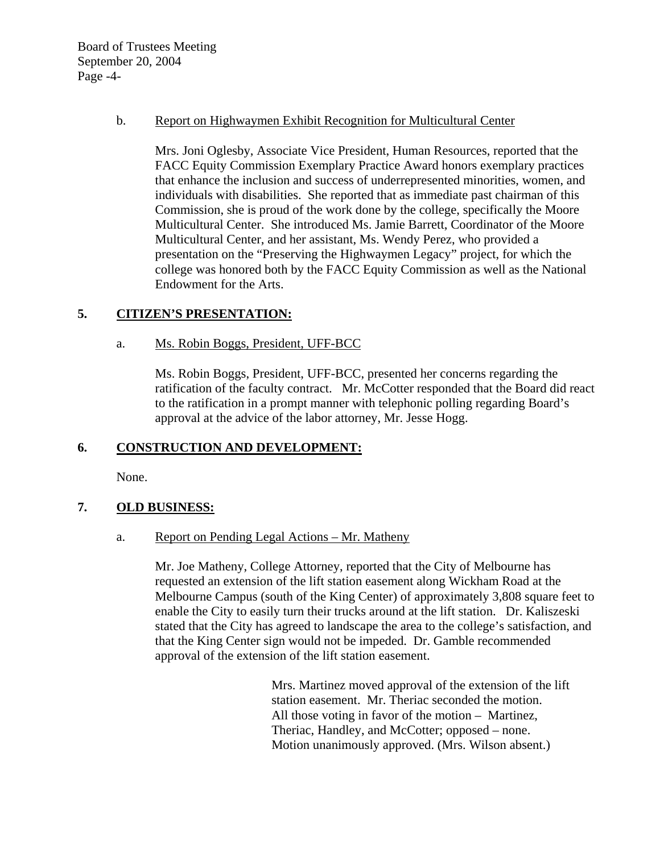Board of Trustees Meeting September 20, 2004 Page -4-

#### b. Report on Highwaymen Exhibit Recognition for Multicultural Center

Mrs. Joni Oglesby, Associate Vice President, Human Resources, reported that the FACC Equity Commission Exemplary Practice Award honors exemplary practices that enhance the inclusion and success of underrepresented minorities, women, and individuals with disabilities. She reported that as immediate past chairman of this Commission, she is proud of the work done by the college, specifically the Moore Multicultural Center. She introduced Ms. Jamie Barrett, Coordinator of the Moore Multicultural Center, and her assistant, Ms. Wendy Perez, who provided a presentation on the "Preserving the Highwaymen Legacy" project, for which the college was honored both by the FACC Equity Commission as well as the National Endowment for the Arts.

## **5. CITIZEN'S PRESENTATION:**

## a. Ms. Robin Boggs, President, UFF-BCC

 Ms. Robin Boggs, President, UFF-BCC, presented her concerns regarding the ratification of the faculty contract. Mr. McCotter responded that the Board did react to the ratification in a prompt manner with telephonic polling regarding Board's approval at the advice of the labor attorney, Mr. Jesse Hogg.

# **6. CONSTRUCTION AND DEVELOPMENT:**

None.

# **7. OLD BUSINESS:**

## a. Report on Pending Legal Actions – Mr. Matheny

Mr. Joe Matheny, College Attorney, reported that the City of Melbourne has requested an extension of the lift station easement along Wickham Road at the Melbourne Campus (south of the King Center) of approximately 3,808 square feet to enable the City to easily turn their trucks around at the lift station. Dr. Kaliszeski stated that the City has agreed to landscape the area to the college's satisfaction, and that the King Center sign would not be impeded. Dr. Gamble recommended approval of the extension of the lift station easement.

> Mrs. Martinez moved approval of the extension of the lift station easement. Mr. Theriac seconded the motion. All those voting in favor of the motion – Martinez, Theriac, Handley, and McCotter; opposed – none. Motion unanimously approved. (Mrs. Wilson absent.)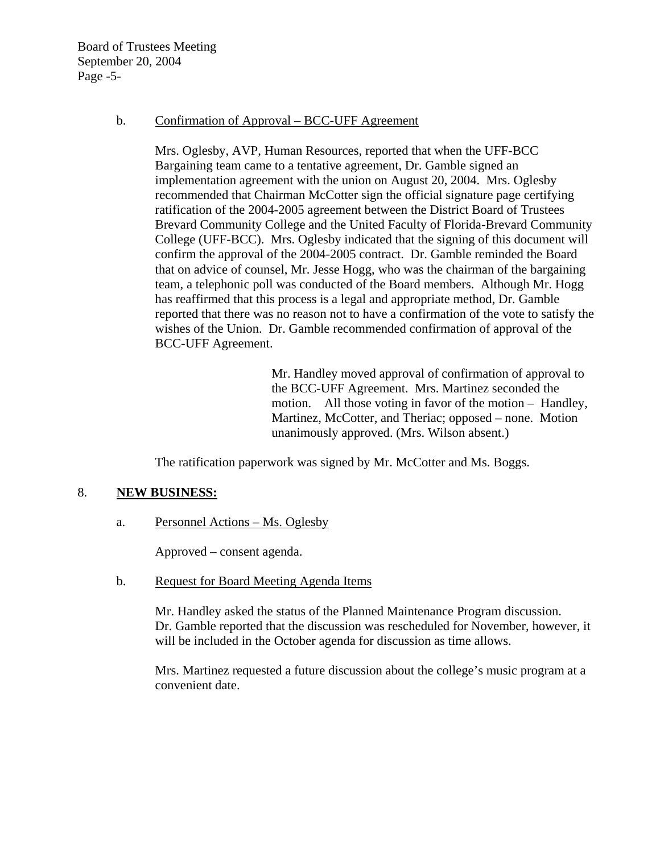Board of Trustees Meeting September 20, 2004 Page -5-

#### b. Confirmation of Approval – BCC-UFF Agreement

Mrs. Oglesby, AVP, Human Resources, reported that when the UFF-BCC Bargaining team came to a tentative agreement, Dr. Gamble signed an implementation agreement with the union on August 20, 2004. Mrs. Oglesby recommended that Chairman McCotter sign the official signature page certifying ratification of the 2004-2005 agreement between the District Board of Trustees Brevard Community College and the United Faculty of Florida-Brevard Community College (UFF-BCC). Mrs. Oglesby indicated that the signing of this document will confirm the approval of the 2004-2005 contract. Dr. Gamble reminded the Board that on advice of counsel, Mr. Jesse Hogg, who was the chairman of the bargaining team, a telephonic poll was conducted of the Board members. Although Mr. Hogg has reaffirmed that this process is a legal and appropriate method, Dr. Gamble reported that there was no reason not to have a confirmation of the vote to satisfy the wishes of the Union. Dr. Gamble recommended confirmation of approval of the BCC-UFF Agreement.

> Mr. Handley moved approval of confirmation of approval to the BCC-UFF Agreement. Mrs. Martinez seconded the motion. All those voting in favor of the motion – Handley, Martinez, McCotter, and Theriac; opposed – none. Motion unanimously approved. (Mrs. Wilson absent.)

The ratification paperwork was signed by Mr. McCotter and Ms. Boggs.

## 8. **NEW BUSINESS:**

a. Personnel Actions – Ms. Oglesby

Approved – consent agenda.

b. Request for Board Meeting Agenda Items

Mr. Handley asked the status of the Planned Maintenance Program discussion. Dr. Gamble reported that the discussion was rescheduled for November, however, it will be included in the October agenda for discussion as time allows.

Mrs. Martinez requested a future discussion about the college's music program at a convenient date.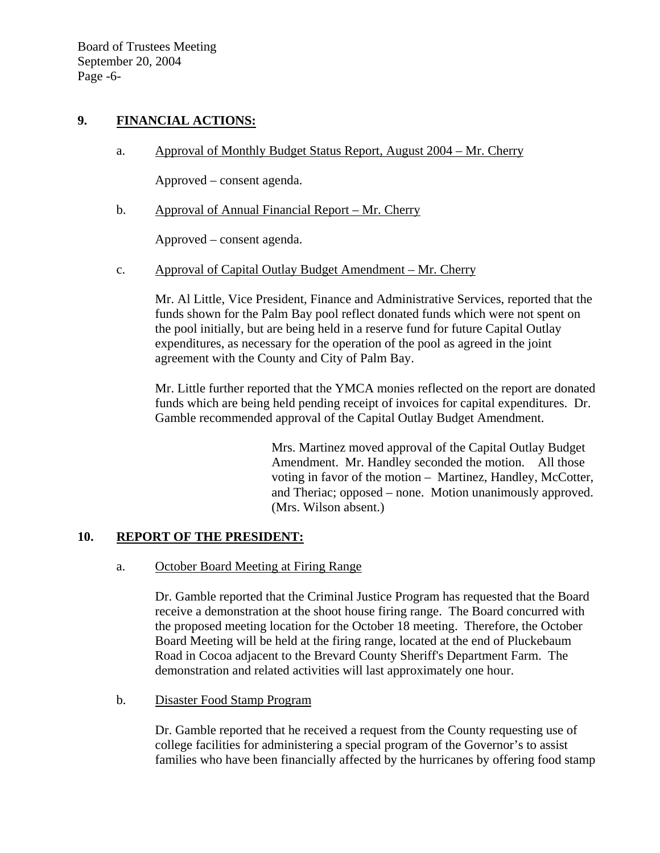Board of Trustees Meeting September 20, 2004 Page -6-

## **9. FINANCIAL ACTIONS:**

a. Approval of Monthly Budget Status Report, August 2004 – Mr. Cherry

Approved – consent agenda.

b. Approval of Annual Financial Report – Mr. Cherry

Approved – consent agenda.

c. Approval of Capital Outlay Budget Amendment – Mr. Cherry

Mr. Al Little, Vice President, Finance and Administrative Services, reported that the funds shown for the Palm Bay pool reflect donated funds which were not spent on the pool initially, but are being held in a reserve fund for future Capital Outlay expenditures, as necessary for the operation of the pool as agreed in the joint agreement with the County and City of Palm Bay.

Mr. Little further reported that the YMCA monies reflected on the report are donated funds which are being held pending receipt of invoices for capital expenditures. Dr. Gamble recommended approval of the Capital Outlay Budget Amendment.

> Mrs. Martinez moved approval of the Capital Outlay Budget Amendment. Mr. Handley seconded the motion. All those voting in favor of the motion – Martinez, Handley, McCotter, and Theriac; opposed – none. Motion unanimously approved. (Mrs. Wilson absent.)

# **10. REPORT OF THE PRESIDENT:**

## a. October Board Meeting at Firing Range

Dr. Gamble reported that the Criminal Justice Program has requested that the Board receive a demonstration at the shoot house firing range. The Board concurred with the proposed meeting location for the October 18 meeting. Therefore, the October Board Meeting will be held at the firing range, located at the end of Pluckebaum Road in Cocoa adjacent to the Brevard County Sheriff's Department Farm. The demonstration and related activities will last approximately one hour.

## b. Disaster Food Stamp Program

Dr. Gamble reported that he received a request from the County requesting use of college facilities for administering a special program of the Governor's to assist families who have been financially affected by the hurricanes by offering food stamp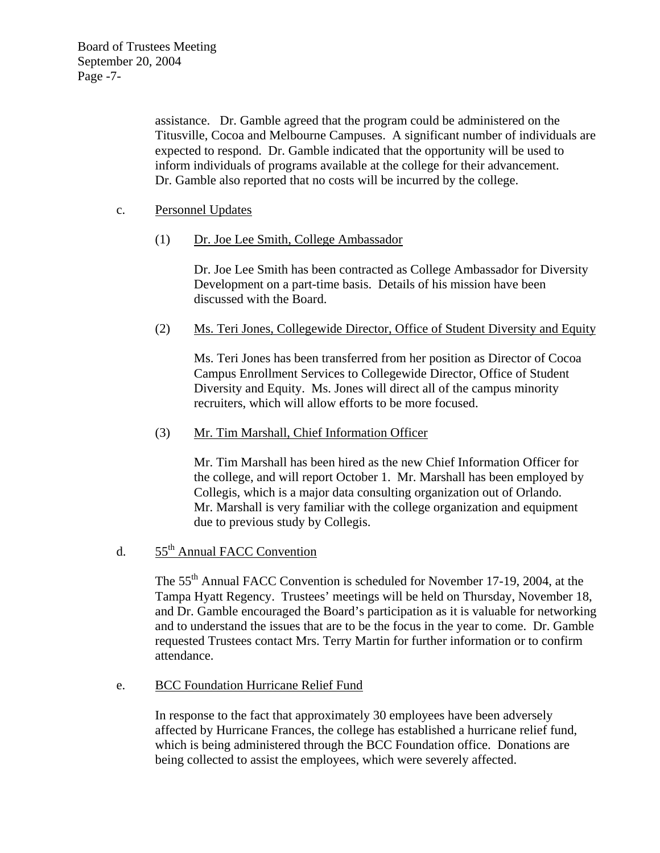assistance. Dr. Gamble agreed that the program could be administered on the Titusville, Cocoa and Melbourne Campuses. A significant number of individuals are expected to respond. Dr. Gamble indicated that the opportunity will be used to inform individuals of programs available at the college for their advancement. Dr. Gamble also reported that no costs will be incurred by the college.

## c. Personnel Updates

(1) Dr. Joe Lee Smith, College Ambassador

Dr. Joe Lee Smith has been contracted as College Ambassador for Diversity Development on a part-time basis. Details of his mission have been discussed with the Board.

(2) Ms. Teri Jones, Collegewide Director, Office of Student Diversity and Equity

Ms. Teri Jones has been transferred from her position as Director of Cocoa Campus Enrollment Services to Collegewide Director, Office of Student Diversity and Equity. Ms. Jones will direct all of the campus minority recruiters, which will allow efforts to be more focused.

## (3) Mr. Tim Marshall, Chief Information Officer

Mr. Tim Marshall has been hired as the new Chief Information Officer for the college, and will report October 1. Mr. Marshall has been employed by Collegis, which is a major data consulting organization out of Orlando. Mr. Marshall is very familiar with the college organization and equipment due to previous study by Collegis.

# d. 55th Annual FACC Convention

The 55th Annual FACC Convention is scheduled for November 17-19, 2004, at the Tampa Hyatt Regency. Trustees' meetings will be held on Thursday, November 18, and Dr. Gamble encouraged the Board's participation as it is valuable for networking and to understand the issues that are to be the focus in the year to come. Dr. Gamble requested Trustees contact Mrs. Terry Martin for further information or to confirm attendance.

## e. BCC Foundation Hurricane Relief Fund

In response to the fact that approximately 30 employees have been adversely affected by Hurricane Frances, the college has established a hurricane relief fund, which is being administered through the BCC Foundation office. Donations are being collected to assist the employees, which were severely affected.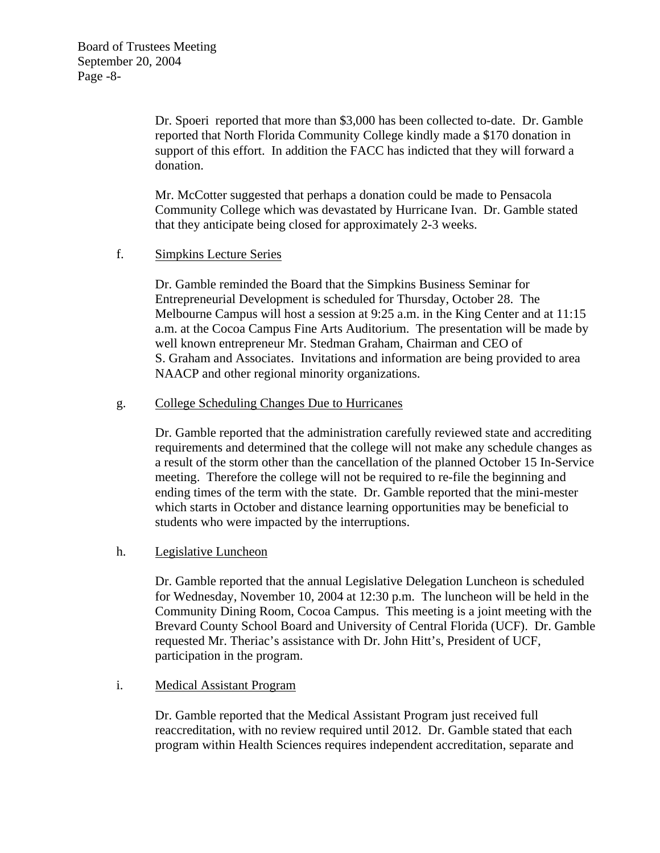Dr. Spoeri reported that more than \$3,000 has been collected to-date. Dr. Gamble reported that North Florida Community College kindly made a \$170 donation in support of this effort. In addition the FACC has indicted that they will forward a donation.

Mr. McCotter suggested that perhaps a donation could be made to Pensacola Community College which was devastated by Hurricane Ivan. Dr. Gamble stated that they anticipate being closed for approximately 2-3 weeks.

## f. Simpkins Lecture Series

Dr. Gamble reminded the Board that the Simpkins Business Seminar for Entrepreneurial Development is scheduled for Thursday, October 28. The Melbourne Campus will host a session at 9:25 a.m. in the King Center and at 11:15 a.m. at the Cocoa Campus Fine Arts Auditorium. The presentation will be made by well known entrepreneur Mr. Stedman Graham, Chairman and CEO of S. Graham and Associates. Invitations and information are being provided to area NAACP and other regional minority organizations.

## g. College Scheduling Changes Due to Hurricanes

Dr. Gamble reported that the administration carefully reviewed state and accrediting requirements and determined that the college will not make any schedule changes as a result of the storm other than the cancellation of the planned October 15 In-Service meeting. Therefore the college will not be required to re-file the beginning and ending times of the term with the state. Dr. Gamble reported that the mini-mester which starts in October and distance learning opportunities may be beneficial to students who were impacted by the interruptions.

## h. Legislative Luncheon

Dr. Gamble reported that the annual Legislative Delegation Luncheon is scheduled for Wednesday, November 10, 2004 at 12:30 p.m. The luncheon will be held in the Community Dining Room, Cocoa Campus. This meeting is a joint meeting with the Brevard County School Board and University of Central Florida (UCF). Dr. Gamble requested Mr. Theriac's assistance with Dr. John Hitt's, President of UCF, participation in the program.

## i. Medical Assistant Program

Dr. Gamble reported that the Medical Assistant Program just received full reaccreditation, with no review required until 2012. Dr. Gamble stated that each program within Health Sciences requires independent accreditation, separate and